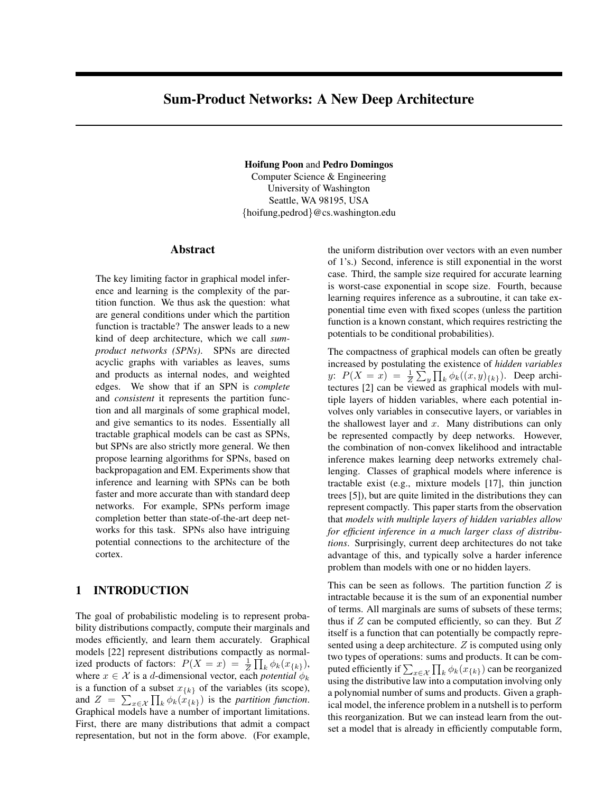# Sum-Product Networks: A New Deep Architecture

Hoifung Poon and Pedro Domingos Computer Science & Engineering

University of Washington Seattle, WA 98195, USA {hoifung,pedrod}@cs.washington.edu

#### Abstract

The key limiting factor in graphical model inference and learning is the complexity of the partition function. We thus ask the question: what are general conditions under which the partition function is tractable? The answer leads to a new kind of deep architecture, which we call *sumproduct networks (SPNs)*. SPNs are directed acyclic graphs with variables as leaves, sums and products as internal nodes, and weighted edges. We show that if an SPN is *complete* and *consistent* it represents the partition function and all marginals of some graphical model, and give semantics to its nodes. Essentially all tractable graphical models can be cast as SPNs, but SPNs are also strictly more general. We then propose learning algorithms for SPNs, based on backpropagation and EM. Experiments show that inference and learning with SPNs can be both faster and more accurate than with standard deep networks. For example, SPNs perform image completion better than state-of-the-art deep networks for this task. SPNs also have intriguing potential connections to the architecture of the cortex.

### 1 INTRODUCTION

The goal of probabilistic modeling is to represent probability distributions compactly, compute their marginals and modes efficiently, and learn them accurately. Graphical models [22] represent distributions compactly as normalized products of factors:  $P(X = x) = \frac{1}{Z} \prod_{k} \phi_k(x_{\{k\}}),$ where  $x \in \mathcal{X}$  is a d-dimensional vector, each *potential*  $\phi_k$ is a function of a subset  $x_{\{k\}}$  of the variables (its scope), and  $Z = \sum_{x \in \mathcal{X}} \prod_k \phi_k(x_{\{k\}})$  is the *partition function*. Graphical models have a number of important limitations. First, there are many distributions that admit a compact representation, but not in the form above. (For example,

the uniform distribution over vectors with an even number of 1's.) Second, inference is still exponential in the worst case. Third, the sample size required for accurate learning is worst-case exponential in scope size. Fourth, because learning requires inference as a subroutine, it can take exponential time even with fixed scopes (unless the partition function is a known constant, which requires restricting the potentials to be conditional probabilities).

The compactness of graphical models can often be greatly increased by postulating the existence of *hidden variables* P Q y:  $P(X = x) = \frac{1}{Z} \sum_{y} \prod_{k} \phi_k((x, y)_{\{k\}})$ . Deep architectures [2] can be viewed as graphical models with multiple layers of hidden variables, where each potential involves only variables in consecutive layers, or variables in the shallowest layer and  $x$ . Many distributions can only be represented compactly by deep networks. However, the combination of non-convex likelihood and intractable inference makes learning deep networks extremely challenging. Classes of graphical models where inference is tractable exist (e.g., mixture models [17], thin junction trees [5]), but are quite limited in the distributions they can represent compactly. This paper starts from the observation that *models with multiple layers of hidden variables allow for efficient inference in a much larger class of distributions*. Surprisingly, current deep architectures do not take advantage of this, and typically solve a harder inference problem than models with one or no hidden layers.

This can be seen as follows. The partition function  $Z$  is intractable because it is the sum of an exponential number of terms. All marginals are sums of subsets of these terms; thus if  $Z$  can be computed efficiently, so can they. But  $Z$ itself is a function that can potentially be compactly represented using a deep architecture. Z is computed using only two types of operations: sums and products. It can be com-Q two types of operations: sums and products. It can be computed efficiently if  $\sum_{x \in \mathcal{X}} \prod_k \phi_k(x_{\{k\}})$  can be reorganized using the distributive law into a computation involving only a polynomial number of sums and products. Given a graphical model, the inference problem in a nutshell is to perform this reorganization. But we can instead learn from the outset a model that is already in efficiently computable form,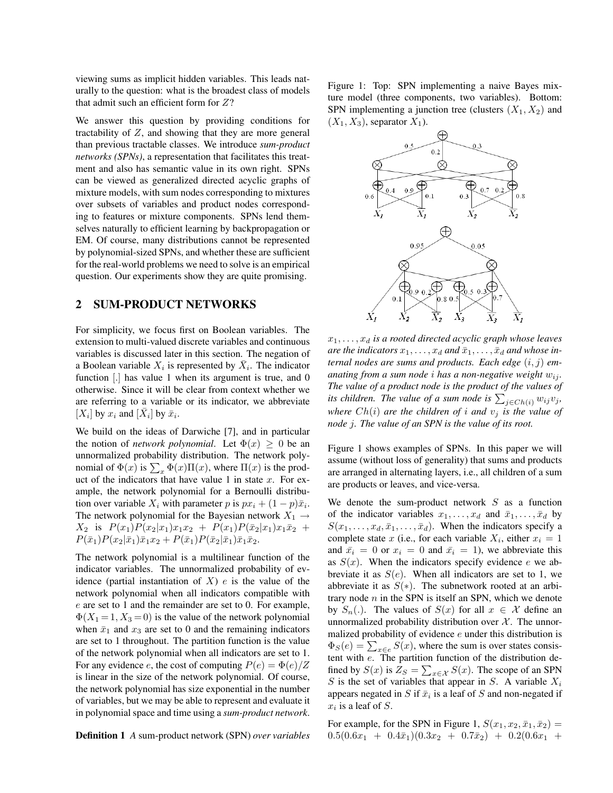viewing sums as implicit hidden variables. This leads naturally to the question: what is the broadest class of models that admit such an efficient form for  $Z$ ?

We answer this question by providing conditions for tractability of  $Z$ , and showing that they are more general than previous tractable classes. We introduce *sum-product networks (SPNs)*, a representation that facilitates this treatment and also has semantic value in its own right. SPNs can be viewed as generalized directed acyclic graphs of mixture models, with sum nodes corresponding to mixtures over subsets of variables and product nodes corresponding to features or mixture components. SPNs lend themselves naturally to efficient learning by backpropagation or EM. Of course, many distributions cannot be represented by polynomial-sized SPNs, and whether these are sufficient for the real-world problems we need to solve is an empirical question. Our experiments show they are quite promising.

### 2 SUM-PRODUCT NETWORKS

For simplicity, we focus first on Boolean variables. The extension to multi-valued discrete variables and continuous variables is discussed later in this section. The negation of a Boolean variable  $X_i$  is represented by  $\overline{X}_i$ . The indicator function [.] has value 1 when its argument is true, and 0 otherwise. Since it will be clear from context whether we are referring to a variable or its indicator, we abbreviate  $[X_i]$  by  $x_i$  and  $[\bar{X}_i]$  by  $\bar{x}_i$ .

We build on the ideas of Darwiche [7], and in particular the notion of *network polynomial*. Let  $\Phi(x) > 0$  be an unnormalized probability distribution. The network polyminormalized probability distribution. The hetwork poly-<br>nomial of  $\Phi(x)$  is  $\sum_x \Phi(x) \Pi(x)$ , where  $\Pi(x)$  is the product of the indicators that have value 1 in state  $x$ . For example, the network polynomial for a Bernoulli distribution over variable  $X_i$  with parameter p is  $px_i + (1 - p)\bar{x}_i$ . The network polynomial for the Bayesian network  $X_1 \rightarrow$  $X_2$  is  $P(x_1)P(x_2|x_1)x_1x_2 + P(x_1)P(\bar{x}_2|x_1)x_1\bar{x}_2 +$  $P(\bar{x}_1)P(x_2|\bar{x}_1)\bar{x}_1x_2 + P(\bar{x}_1)P(\bar{x}_2|\bar{x}_1)\bar{x}_1\bar{x}_2.$ 

The network polynomial is a multilinear function of the indicator variables. The unnormalized probability of evidence (partial instantiation of  $X$ ) e is the value of the network polynomial when all indicators compatible with e are set to 1 and the remainder are set to 0. For example,  $\Phi(X_1 = 1, X_3 = 0)$  is the value of the network polynomial when  $\bar{x}_1$  and  $x_3$  are set to 0 and the remaining indicators are set to 1 throughout. The partition function is the value of the network polynomial when all indicators are set to 1. For any evidence e, the cost of computing  $P(e) = \Phi(e)/Z$ is linear in the size of the network polynomial. Of course, the network polynomial has size exponential in the number of variables, but we may be able to represent and evaluate it in polynomial space and time using a *sum-product network*.

Definition 1 *A* sum-product network (SPN) *over variables*

Figure 1: Top: SPN implementing a naive Bayes mixture model (three components, two variables). Bottom: SPN implementing a junction tree (clusters  $(X_1, X_2)$  and  $(X_1, X_3)$ , separator  $X_1$ ).



 $x_1, \ldots, x_d$  *is a rooted directed acyclic graph whose leaves* are the indicators  $x_1, \ldots, x_d$  and  $\bar{x}_1, \ldots, \bar{x}_d$  and whose in*ternal nodes are sums and products. Each edge* (i, j) *emanating from a sum node i has a non-negative weight*  $w_{ij}$ *. The value of a product node is the product of the values of i* the value of a product node is the product of the values of its children. The value of a sum node is  $\sum_{j \in Ch(i)} w_{ij} v_j$ , *where*  $Ch(i)$  *are the children of i and*  $v_i$  *is the value of node* j*. The value of an SPN is the value of its root.*

Figure 1 shows examples of SPNs. In this paper we will assume (without loss of generality) that sums and products are arranged in alternating layers, i.e., all children of a sum are products or leaves, and vice-versa.

We denote the sum-product network  $S$  as a function of the indicator variables  $x_1, \ldots, x_d$  and  $\bar{x}_1, \ldots, \bar{x}_d$  by  $S(x_1, \ldots, x_d, \bar{x}_1, \ldots, \bar{x}_d)$ . When the indicators specify a complete state x (i.e., for each variable  $X_i$ , either  $x_i = 1$ and  $\bar{x}_i = 0$  or  $x_i = 0$  and  $\bar{x}_i = 1$ ), we abbreviate this as  $S(x)$ . When the indicators specify evidence e we abbreviate it as  $S(e)$ . When all indicators are set to 1, we abbreviate it as  $S(*)$ . The subnetwork rooted at an arbitrary node  $n$  in the SPN is itself an SPN, which we denote by  $S_n(.)$ . The values of  $S(x)$  for all  $x \in \mathcal{X}$  define an unnormalized probability distribution over  $X$ . The unnormalized probability of evidence  $e$  under this distribution is manzed probability of evidence e under this distribution is  $\Phi_S(e) = \sum_{x \in e} S(x)$ , where the sum is over states consistent with e. The partition function of the distribution defined by  $S(x)$  is  $Z_S = \sum_{x \in \mathcal{X}} S(x)$ . The scope of an SPN S is the set of variables that appear in S. A variable  $X_i$ appears negated in S if  $\bar{x}_i$  is a leaf of S and non-negated if  $x_i$  is a leaf of S.

For example, for the SPN in Figure 1,  $S(x_1, x_2, \bar{x}_1, \bar{x}_2)$  =  $0.5(0.6x_1 + 0.4\bar{x}_1)(0.3x_2 + 0.7\bar{x}_2) + 0.2(0.6x_1 +$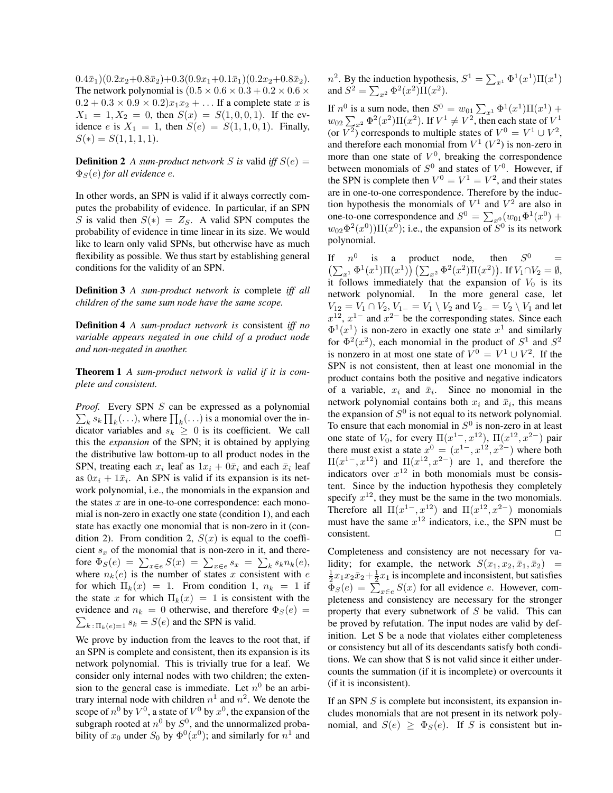$0.4\bar{x}_1)(0.2x_2+0.8\bar{x}_2)+0.3(0.9x_1+0.1\bar{x}_1)(0.2x_2+0.8\bar{x}_2).$ The network polynomial is  $(0.5 \times 0.6 \times 0.3 + 0.2 \times 0.6 \times$  $0.2 + 0.3 \times 0.9 \times 0.2$ ) $x_1x_2 + \ldots$  If a complete state x is  $X_1 = 1, X_2 = 0$ , then  $S(x) = S(1, 0, 0, 1)$ . If the evidence e is  $X_1 = 1$ , then  $S(e) = S(1, 1, 0, 1)$ . Finally,  $S(*) = S(1, 1, 1, 1).$ 

**Definition 2** *A sum-product network S is* valid *iff*  $S(e)$  =  $\Phi_S(e)$  *for all evidence e.* 

In other words, an SPN is valid if it always correctly computes the probability of evidence. In particular, if an SPN S is valid then  $S(*) = Z_S$ . A valid SPN computes the probability of evidence in time linear in its size. We would like to learn only valid SPNs, but otherwise have as much flexibility as possible. We thus start by establishing general conditions for the validity of an SPN.

Definition 3 *A sum-product network is* complete *iff all children of the same sum node have the same scope.*

Definition 4 *A sum-product network is* consistent *iff no variable appears negated in one child of a product node and non-negated in another.*

Theorem 1 *A sum-product network is valid if it is complete and consistent.*

*Proof.* Every SPN  $S$  can be expressed as a polynomial boy. Every SPIN 5 can be expressed as a polynomial  $k s_k \prod_k$ (...), where  $\prod_k$ (...) is a monomial over the indicator variables and  $s_k \geq 0$  is its coefficient. We call this the *expansion* of the SPN; it is obtained by applying the distributive law bottom-up to all product nodes in the SPN, treating each  $x_i$  leaf as  $1x_i + 0\bar{x}_i$  and each  $\bar{x}_i$  leaf as  $0x_i + 1\bar{x}_i$ . An SPN is valid if its expansion is its network polynomial, i.e., the monomials in the expansion and the states  $x$  are in one-to-one correspondence: each monomial is non-zero in exactly one state (condition 1), and each state has exactly one monomial that is non-zero in it (condition 2). From condition 2,  $S(x)$  is equal to the coefficient  $s_x$  of the monomial that is non-zero in it, and there-Fore  $\Phi_S(e) = \sum_{x \in e} S(x) = \sum_{x \in e} s_x = \sum_k s_k n_k(e)$ , where  $n_k(e)$  is the number of states x consistent with e for which  $\Pi_k(x) = 1$ . From condition 1,  $n_k = 1$  if the state x for which  $\Pi_k(x) = 1$  is consistent with the evidence and  $n_k = 0$  otherwise, and therefore  $\Phi_S(e) = \sum_{k=0}^{\infty} \Phi_k(e)$  $\sum_{k \in \Pi_k(e)=1} s_k = S(e)$  and the SPN is valid.

We prove by induction from the leaves to the root that, if an SPN is complete and consistent, then its expansion is its network polynomial. This is trivially true for a leaf. We consider only internal nodes with two children; the extension to the general case is immediate. Let  $n^0$  be an arbitrary internal node with children  $n^1$  and  $n^2$ . We denote the scope of  $n^0$  by  $V^0$ , a state of  $V^0$  by  $x^0$ , the expansion of the subgraph rooted at  $n^0$  by  $S^0$ , and the unnormalized probability of  $x_0$  under  $S_0$  by  $\Phi^0(x^0)$ ; and similarly for  $n^1$  and

 $n^2$ . By the induction hypothesis,  $S^1 = \sum_{x^1} \Phi^1(x^1) \Pi(x^1)$ *n* . By the modernon hypothes and  $S^2 = \sum_{x^2} \Phi^2(x^2) \Pi(x^2)$ .

If  $n^0$  is a sum node, then  $S^0 = w_{01} \sum_{x^1} \Phi^1(x^1) \Pi(x^1) + w_{02} \sum_{x^2} \Phi^2(x^2) \Pi(x^2)$ . If  $V^1 \neq V^2$ , then each state of  $V^1$ (or  $V^2$ ) corresponds to multiple states of  $V^0 = V^1 \cup V^2$ , and therefore each monomial from  $V^1$  ( $V^2$ ) is non-zero in more than one state of  $V^0$ , breaking the correspondence between monomials of  $S^0$  and states of  $V^0$ . However, if the SPN is complete then  $V^0 = V^1 = V^2$ , and their states are in one-to-one correspondence. Therefore by the induction hypothesis the monomials of  $V^1$  and  $V^2$  are also in tion hypothesis the monomials of  $V^2$  and  $V^2$  are also in<br>one-to-one correspondence and  $S^0 = \sum_{x=0}^{\infty} (w_{01} \Phi^1(x^0))$  $w_{02}\Phi^2(x^0)\Pi(x^0)$ ; i.e., the expansion of  $S^0$  is its network polynomial.

If  $n^0$  is a product node, then  $S^0$  =  $_{x^{1}}\Phi^{1}(x^{1})\Pi(x^{1})\big)\left(\sum_{x^{2}}\Phi^{2}(x^{2})\Pi(x^{2})\right)$ . If  $V_{1}\cap V_{2}=\emptyset$ , then it follows immediately that the expansion of  $V_0$  is its network polynomial. In the more general case, let  $V_{12} = V_1 \cap V_2$ ,  $V_{1-} = V_1 \setminus V_2$  and  $V_{2-} = V_2 \setminus V_1$  and let  $x^{12}$ ,  $x^{1-}$  and  $x^{2-}$  be the corresponding states. Since each  $\Phi^1(x^1)$  is non-zero in exactly one state  $x^1$  and similarly for  $\Phi^2(x^2)$ , each monomial in the product of  $S^1$  and  $S^2$ is nonzero in at most one state of  $V^0 = V^1 \cup V^2$ . If the SPN is not consistent, then at least one monomial in the product contains both the positive and negative indicators of a variable,  $x_i$  and  $\bar{x}_i$ . Since no monomial in the network polynomial contains both  $x_i$  and  $\bar{x}_i$ , this means the expansion of  $S^0$  is not equal to its network polynomial. To ensure that each monomial in  $S^0$  is non-zero in at least one state of  $V_0$ , for every  $\Pi(x^{1-}, x^{12})$ ,  $\Pi(x^{12}, x^{2-})$  pair there must exist a state  $x^0 = (x^{1-}, x^{12}, x^{2-})$  where both  $\Pi(x^{1-},x^{12})$  and  $\Pi(x^{12},x^{2-})$  are 1, and therefore the indicators over  $x^{12}$  in both monomials must be consistent. Since by the induction hypothesis they completely specify  $x^{12}$ , they must be the same in the two monomials. Therefore all  $\Pi(x^{1-}, x^{12})$  and  $\Pi(x^{12}, x^{2-})$  monomials must have the same  $x^{12}$  indicators, i.e., the SPN must be consistent.

Completeness and consistency are not necessary for validity; for example, the network  $S(x_1, x_2, \bar{x}_1, \bar{x}_2)$  =  $\frac{1}{2}x_1x_2\bar{x}_2+\frac{1}{2}x_1$  is incomplete and inconsistent, but satisfies  $\frac{\overline{2}x_1x_2x_2 + \overline{2}x_1}{\Phi_S(e)} = \sum_{x \in e} S(x)$  for all evidence e. However, completeness and consistency are necessary for the stronger property that every subnetwork of  $S$  be valid. This can be proved by refutation. The input nodes are valid by definition. Let S be a node that violates either completeness or consistency but all of its descendants satisfy both conditions. We can show that S is not valid since it either undercounts the summation (if it is incomplete) or overcounts it (if it is inconsistent).

If an SPN  $S$  is complete but inconsistent, its expansion includes monomials that are not present in its network polynomial, and  $S(e) \geq \Phi_S(e)$ . If S is consistent but in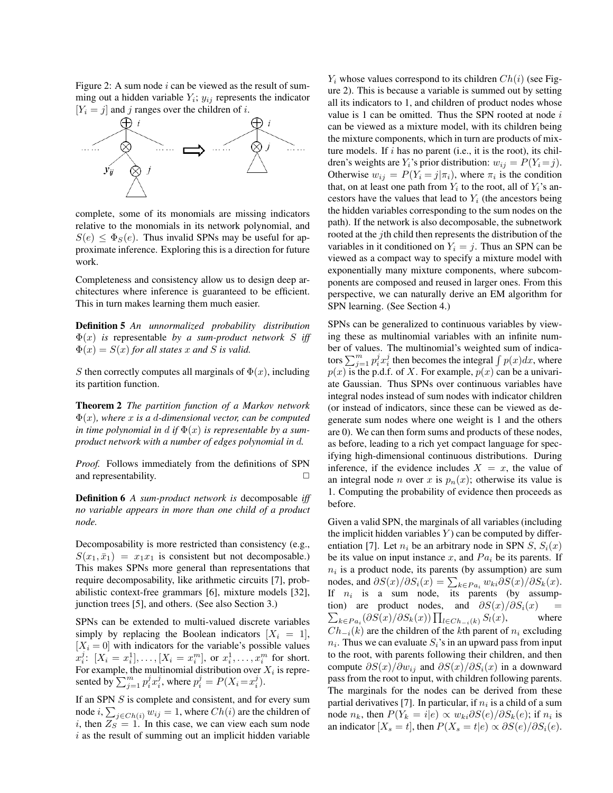Figure 2: A sum node  $i$  can be viewed as the result of summing out a hidden variable  $Y_i$ ;  $y_{ij}$  represents the indicator  $[Y_i = j]$  and j ranges over the children of i.



complete, some of its monomials are missing indicators relative to the monomials in its network polynomial, and  $S(e) < \Phi_S(e)$ . Thus invalid SPNs may be useful for approximate inference. Exploring this is a direction for future work.

Completeness and consistency allow us to design deep architectures where inference is guaranteed to be efficient. This in turn makes learning them much easier.

Definition 5 *An unnormalized probability distribution* Φ(x) *is* representable *by a sum-product network* S *iff*  $\Phi(x) = S(x)$  *for all states* x *and* S *is valid.* 

S then correctly computes all marginals of  $\Phi(x)$ , including its partition function.

Theorem 2 *The partition function of a Markov network* Φ(x)*, where* x *is a* d*-dimensional vector, can be computed in time polynomial in d if*  $\Phi(x)$  *is representable by a sumproduct network with a number of edges polynomial in* d*.*

*Proof.* Follows immediately from the definitions of SPN and representability.  $\Box$ 

Definition 6 *A sum-product network is* decomposable *iff no variable appears in more than one child of a product node.*

Decomposability is more restricted than consistency (e.g.,  $S(x_1, \bar{x}_1) = x_1x_1$  is consistent but not decomposable.) This makes SPNs more general than representations that require decomposability, like arithmetic circuits [7], probabilistic context-free grammars [6], mixture models [32], junction trees [5], and others. (See also Section 3.)

SPNs can be extended to multi-valued discrete variables simply by replacing the Boolean indicators  $[X_i = 1]$ ,  $[X_i = 0]$  with indicators for the variable's possible values  $x_i^j$ :  $[X_i = x_i^1], \ldots, [X_i = x_i^m], \text{ or } x_i^1, \ldots, x_i^m \text{ for short.}$ For example, the multinomial distribution over  $X_i$  is represented by  $\sum_{j=1}^m p_i^j x_i^j$ , where  $p_i^j = P(X_i = x_i^j)$ .

If an SPN  $S$  is complete and consistent, and for every sum node  $i, \sum_{j \in Ch(i)} w_{ij} = 1$ , where  $Ch(i)$  are the children of i, then  $Z_S = 1$ . In this case, we can view each sum node  $i$  as the result of summing out an implicit hidden variable

 $Y_i$  whose values correspond to its children  $Ch(i)$  (see Figure 2). This is because a variable is summed out by setting all its indicators to 1, and children of product nodes whose value is 1 can be omitted. Thus the SPN rooted at node  $i$ can be viewed as a mixture model, with its children being the mixture components, which in turn are products of mixture models. If  $i$  has no parent (i.e., it is the root), its children's weights are  $Y_i$ 's prior distribution:  $w_{ij} = P(Y_i = j)$ . Otherwise  $w_{ij} = P(Y_i = j | \pi_i)$ , where  $\pi_i$  is the condition that, on at least one path from  $Y_i$  to the root, all of  $Y_i$ 's ancestors have the values that lead to  $Y_i$  (the ancestors being the hidden variables corresponding to the sum nodes on the path). If the network is also decomposable, the subnetwork rooted at the jth child then represents the distribution of the variables in it conditioned on  $Y_i = j$ . Thus an SPN can be viewed as a compact way to specify a mixture model with exponentially many mixture components, where subcomponents are composed and reused in larger ones. From this perspective, we can naturally derive an EM algorithm for SPN learning. (See Section 4.)

SPNs can be generalized to continuous variables by viewing these as multinomial variables with an infinite number of values. The multinomial's weighted sum of indicaber of values. The multinomial s weighted sum of indica-<br>tors  $\sum_{j=1}^{m} p_i^j x_i^j$  then becomes the integral  $\int p(x)dx$ , where  $p(x)$  is the p.d.f. of X. For example,  $p(x)$  can be a univariate Gaussian. Thus SPNs over continuous variables have integral nodes instead of sum nodes with indicator children (or instead of indicators, since these can be viewed as degenerate sum nodes where one weight is 1 and the others are 0). We can then form sums and products of these nodes, as before, leading to a rich yet compact language for specifying high-dimensional continuous distributions. During inference, if the evidence includes  $X = x$ , the value of an integral node *n* over x is  $p_n(x)$ ; otherwise its value is 1. Computing the probability of evidence then proceeds as before.

Given a valid SPN, the marginals of all variables (including the implicit hidden variables  $Y$ ) can be computed by differentiation [7]. Let  $n_i$  be an arbitrary node in SPN  $S$ ,  $S_i(x)$ be its value on input instance x, and  $Pa_i$  be its parents. If  $n_i$  is a product node, its parents (by assumption) are sum  $n_i$  is a product node, its parents (by assumption) are sum<br>nodes, and  $\partial S(x)/\partial S_i(x) = \sum_{k \in Pa_i} w_{ki} \partial S(x)/\partial S_k(x)$ . If  $n_i$  is a sum node, its parents (by assumption) are product nodes, and  $\partial S(x)/\partial S_i(x)$  = are product nodes, and  $\partial S(x)/\partial S_i(x) =$ <br> $k \in Pa_i(\partial S(x)/\partial S_k(x)) \prod_{l \in Ch_{-i}(k)} S_l(x)$ , where  $Ch_{-i}(k)$  are the children of the kth parent of  $n_i$  excluding  $n_i$ . Thus we can evaluate  $S_i$ 's in an upward pass from input to the root, with parents following their children, and then compute  $\partial S(x)/\partial w_{ij}$  and  $\partial S(x)/\partial S_i(x)$  in a downward pass from the root to input, with children following parents. The marginals for the nodes can be derived from these partial derivatives [7]. In particular, if  $n_i$  is a child of a sum node  $n_k$ , then  $P(Y_k = i|e) \propto w_{ki} \partial S(e)/\partial S_k(e)$ ; if  $n_i$  is an indicator  $[X_s = t]$ , then  $P(X_s = t|e) \propto \partial S(e)/\partial S_i(e)$ .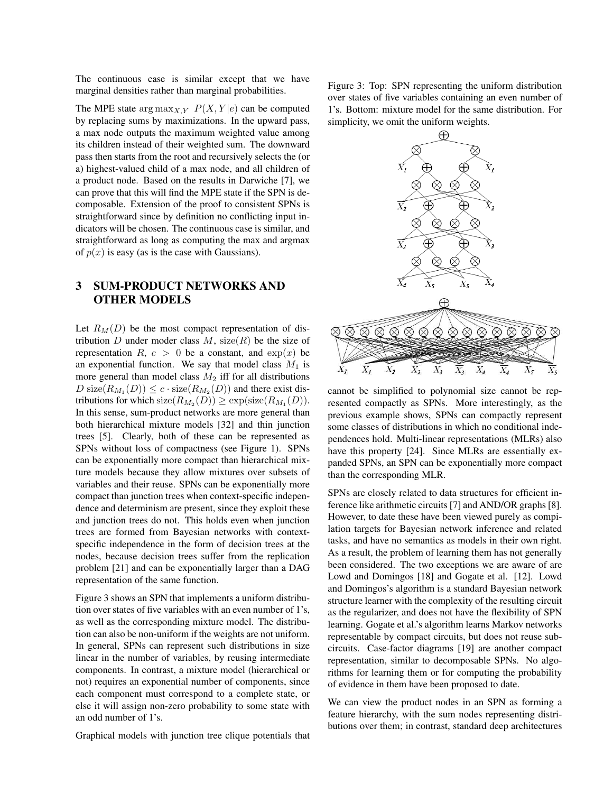The continuous case is similar except that we have marginal densities rather than marginal probabilities.

The MPE state  $\arg \max_{X,Y} P(X,Y|e)$  can be computed by replacing sums by maximizations. In the upward pass, a max node outputs the maximum weighted value among its children instead of their weighted sum. The downward pass then starts from the root and recursively selects the (or a) highest-valued child of a max node, and all children of a product node. Based on the results in Darwiche [7], we can prove that this will find the MPE state if the SPN is decomposable. Extension of the proof to consistent SPNs is straightforward since by definition no conflicting input indicators will be chosen. The continuous case is similar, and straightforward as long as computing the max and argmax of  $p(x)$  is easy (as is the case with Gaussians).

## 3 SUM-PRODUCT NETWORKS AND OTHER MODELS

Let  $R_M(D)$  be the most compact representation of distribution D under moder class  $M$ , size(R) be the size of representation R,  $c > 0$  be a constant, and  $\exp(x)$  be an exponential function. We say that model class  $M_1$  is more general than model class  $M_2$  iff for all distributions  $D \text{ size}(R_{M_1}(D)) \leq c \cdot \text{ size}(R_{M_2}(D))$  and there exist distributions for which  $size(R_{M_2}(D)) \geq exp(size(R_{M_1}(D)).$ In this sense, sum-product networks are more general than both hierarchical mixture models [32] and thin junction trees [5]. Clearly, both of these can be represented as SPNs without loss of compactness (see Figure 1). SPNs can be exponentially more compact than hierarchical mixture models because they allow mixtures over subsets of variables and their reuse. SPNs can be exponentially more compact than junction trees when context-specific independence and determinism are present, since they exploit these and junction trees do not. This holds even when junction trees are formed from Bayesian networks with contextspecific independence in the form of decision trees at the nodes, because decision trees suffer from the replication problem [21] and can be exponentially larger than a DAG representation of the same function.

Figure 3 shows an SPN that implements a uniform distribution over states of five variables with an even number of 1's, as well as the corresponding mixture model. The distribution can also be non-uniform if the weights are not uniform. In general, SPNs can represent such distributions in size linear in the number of variables, by reusing intermediate components. In contrast, a mixture model (hierarchical or not) requires an exponential number of components, since each component must correspond to a complete state, or else it will assign non-zero probability to some state with an odd number of 1's.

Graphical models with junction tree clique potentials that

Figure 3: Top: SPN representing the uniform distribution over states of five variables containing an even number of 1's. Bottom: mixture model for the same distribution. For simplicity, we omit the uniform weights.



cannot be simplified to polynomial size cannot be represented compactly as SPNs. More interestingly, as the previous example shows, SPNs can compactly represent some classes of distributions in which no conditional independences hold. Multi-linear representations (MLRs) also have this property [24]. Since MLRs are essentially expanded SPNs, an SPN can be exponentially more compact than the corresponding MLR.

SPNs are closely related to data structures for efficient inference like arithmetic circuits [7] and AND/OR graphs [8]. However, to date these have been viewed purely as compilation targets for Bayesian network inference and related tasks, and have no semantics as models in their own right. As a result, the problem of learning them has not generally been considered. The two exceptions we are aware of are Lowd and Domingos [18] and Gogate et al. [12]. Lowd and Domingos's algorithm is a standard Bayesian network structure learner with the complexity of the resulting circuit as the regularizer, and does not have the flexibility of SPN learning. Gogate et al.'s algorithm learns Markov networks representable by compact circuits, but does not reuse subcircuits. Case-factor diagrams [19] are another compact representation, similar to decomposable SPNs. No algorithms for learning them or for computing the probability of evidence in them have been proposed to date.

We can view the product nodes in an SPN as forming a feature hierarchy, with the sum nodes representing distributions over them; in contrast, standard deep architectures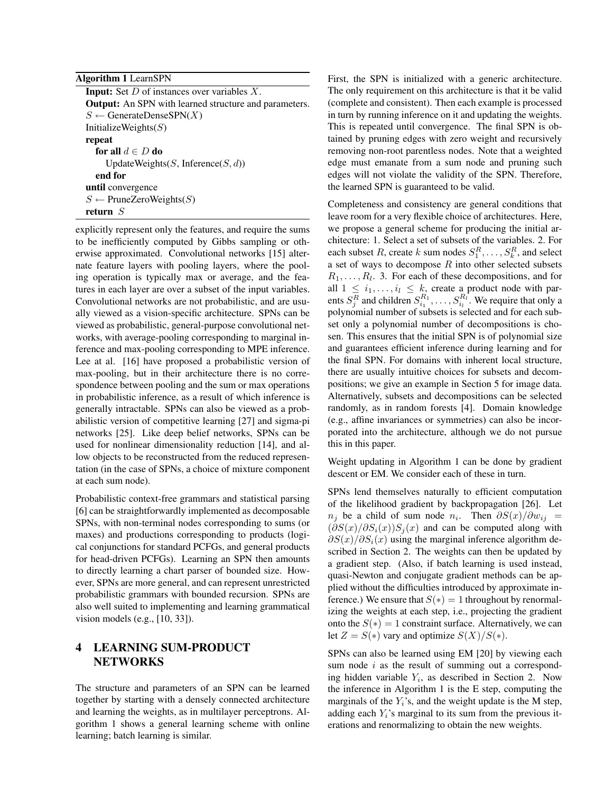#### Algorithm 1 LearnSPN

**Input:** Set  $D$  of instances over variables  $X$ . Output: An SPN with learned structure and parameters.  $S \leftarrow$  GenerateDenseSPN(X) InitializeWeights $(S)$ repeat for all  $d \in D$  do UpdateWeights $(S, Inference(S, d))$ end for until convergence  $S \leftarrow$  PruneZeroWeights(S) return S

explicitly represent only the features, and require the sums to be inefficiently computed by Gibbs sampling or otherwise approximated. Convolutional networks [15] alternate feature layers with pooling layers, where the pooling operation is typically max or average, and the features in each layer are over a subset of the input variables. Convolutional networks are not probabilistic, and are usually viewed as a vision-specific architecture. SPNs can be viewed as probabilistic, general-purpose convolutional networks, with average-pooling corresponding to marginal inference and max-pooling corresponding to MPE inference. Lee at al. [16] have proposed a probabilistic version of max-pooling, but in their architecture there is no correspondence between pooling and the sum or max operations in probabilistic inference, as a result of which inference is generally intractable. SPNs can also be viewed as a probabilistic version of competitive learning [27] and sigma-pi networks [25]. Like deep belief networks, SPNs can be used for nonlinear dimensionality reduction [14], and allow objects to be reconstructed from the reduced representation (in the case of SPNs, a choice of mixture component at each sum node).

Probabilistic context-free grammars and statistical parsing [6] can be straightforwardly implemented as decomposable SPNs, with non-terminal nodes corresponding to sums (or maxes) and productions corresponding to products (logical conjunctions for standard PCFGs, and general products for head-driven PCFGs). Learning an SPN then amounts to directly learning a chart parser of bounded size. However, SPNs are more general, and can represent unrestricted probabilistic grammars with bounded recursion. SPNs are also well suited to implementing and learning grammatical vision models (e.g., [10, 33]).

## 4 LEARNING SUM-PRODUCT **NETWORKS**

The structure and parameters of an SPN can be learned together by starting with a densely connected architecture and learning the weights, as in multilayer perceptrons. Algorithm 1 shows a general learning scheme with online learning; batch learning is similar.

First, the SPN is initialized with a generic architecture. The only requirement on this architecture is that it be valid (complete and consistent). Then each example is processed in turn by running inference on it and updating the weights. This is repeated until convergence. The final SPN is obtained by pruning edges with zero weight and recursively removing non-root parentless nodes. Note that a weighted edge must emanate from a sum node and pruning such edges will not violate the validity of the SPN. Therefore, the learned SPN is guaranteed to be valid.

Completeness and consistency are general conditions that leave room for a very flexible choice of architectures. Here, we propose a general scheme for producing the initial architecture: 1. Select a set of subsets of the variables. 2. For each subset R, create k sum nodes  $S_1^R, \ldots, S_k^R$ , and select a set of ways to decompose  $R$  into other selected subsets  $R_1, \ldots, R_l$ . 3. For each of these decompositions, and for all  $1 \leq i_1, \ldots, i_l \leq k$ , create a product node with parents  $S_j^R$  and children  $S_{i_1}^{R_1}, \ldots, S_{i_l}^{R_l}$ . We require that only a polynomial number of subsets is selected and for each subset only a polynomial number of decompositions is chosen. This ensures that the initial SPN is of polynomial size and guarantees efficient inference during learning and for the final SPN. For domains with inherent local structure, there are usually intuitive choices for subsets and decompositions; we give an example in Section 5 for image data. Alternatively, subsets and decompositions can be selected randomly, as in random forests [4]. Domain knowledge (e.g., affine invariances or symmetries) can also be incorporated into the architecture, although we do not pursue this in this paper.

Weight updating in Algorithm 1 can be done by gradient descent or EM. We consider each of these in turn.

SPNs lend themselves naturally to efficient computation of the likelihood gradient by backpropagation [26]. Let  $n_j$  be a child of sum node  $n_i$ . Then  $\partial S(x)/\partial w_{ij}$  =  $(\partial S(x)/\partial S_i(x))S_i(x)$  and can be computed along with  $\partial S(x)/\partial S_i(x)$  using the marginal inference algorithm described in Section 2. The weights can then be updated by a gradient step. (Also, if batch learning is used instead, quasi-Newton and conjugate gradient methods can be applied without the difficulties introduced by approximate inference.) We ensure that  $S(*) = 1$  throughout by renormalizing the weights at each step, i.e., projecting the gradient onto the  $S(*) = 1$  constraint surface. Alternatively, we can let  $Z = S(*)$  vary and optimize  $S(X)/S(*)$ .

SPNs can also be learned using EM [20] by viewing each sum node  $i$  as the result of summing out a corresponding hidden variable  $Y_i$ , as described in Section 2. Now the inference in Algorithm 1 is the E step, computing the marginals of the  $Y_i$ 's, and the weight update is the M step, adding each  $Y_i$ 's marginal to its sum from the previous iterations and renormalizing to obtain the new weights.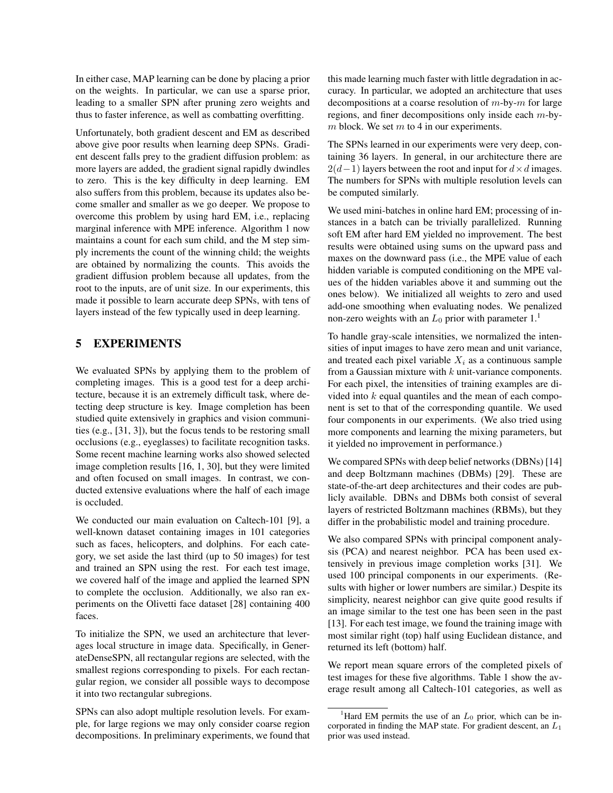In either case, MAP learning can be done by placing a prior on the weights. In particular, we can use a sparse prior, leading to a smaller SPN after pruning zero weights and thus to faster inference, as well as combatting overfitting.

Unfortunately, both gradient descent and EM as described above give poor results when learning deep SPNs. Gradient descent falls prey to the gradient diffusion problem: as more layers are added, the gradient signal rapidly dwindles to zero. This is the key difficulty in deep learning. EM also suffers from this problem, because its updates also become smaller and smaller as we go deeper. We propose to overcome this problem by using hard EM, i.e., replacing marginal inference with MPE inference. Algorithm 1 now maintains a count for each sum child, and the M step simply increments the count of the winning child; the weights are obtained by normalizing the counts. This avoids the gradient diffusion problem because all updates, from the root to the inputs, are of unit size. In our experiments, this made it possible to learn accurate deep SPNs, with tens of layers instead of the few typically used in deep learning.

#### 5 EXPERIMENTS

We evaluated SPNs by applying them to the problem of completing images. This is a good test for a deep architecture, because it is an extremely difficult task, where detecting deep structure is key. Image completion has been studied quite extensively in graphics and vision communities (e.g., [31, 3]), but the focus tends to be restoring small occlusions (e.g., eyeglasses) to facilitate recognition tasks. Some recent machine learning works also showed selected image completion results [16, 1, 30], but they were limited and often focused on small images. In contrast, we conducted extensive evaluations where the half of each image is occluded.

We conducted our main evaluation on Caltech-101 [9], a well-known dataset containing images in 101 categories such as faces, helicopters, and dolphins. For each category, we set aside the last third (up to 50 images) for test and trained an SPN using the rest. For each test image, we covered half of the image and applied the learned SPN to complete the occlusion. Additionally, we also ran experiments on the Olivetti face dataset [28] containing 400 faces.

To initialize the SPN, we used an architecture that leverages local structure in image data. Specifically, in GenerateDenseSPN, all rectangular regions are selected, with the smallest regions corresponding to pixels. For each rectangular region, we consider all possible ways to decompose it into two rectangular subregions.

SPNs can also adopt multiple resolution levels. For example, for large regions we may only consider coarse region decompositions. In preliminary experiments, we found that

this made learning much faster with little degradation in accuracy. In particular, we adopted an architecture that uses decompositions at a coarse resolution of  $m$ -by- $m$  for large regions, and finer decompositions only inside each m-by $m$  block. We set  $m$  to 4 in our experiments.

The SPNs learned in our experiments were very deep, containing 36 layers. In general, in our architecture there are  $2(d-1)$  layers between the root and input for  $d \times d$  images. The numbers for SPNs with multiple resolution levels can be computed similarly.

We used mini-batches in online hard EM; processing of instances in a batch can be trivially parallelized. Running soft EM after hard EM yielded no improvement. The best results were obtained using sums on the upward pass and maxes on the downward pass (i.e., the MPE value of each hidden variable is computed conditioning on the MPE values of the hidden variables above it and summing out the ones below). We initialized all weights to zero and used add-one smoothing when evaluating nodes. We penalized non-zero weights with an  $L_0$  prior with parameter  $1<sup>1</sup>$ 

To handle gray-scale intensities, we normalized the intensities of input images to have zero mean and unit variance, and treated each pixel variable  $X_i$  as a continuous sample from a Gaussian mixture with  $k$  unit-variance components. For each pixel, the intensities of training examples are divided into  $k$  equal quantiles and the mean of each component is set to that of the corresponding quantile. We used four components in our experiments. (We also tried using more components and learning the mixing parameters, but it yielded no improvement in performance.)

We compared SPNs with deep belief networks (DBNs) [14] and deep Boltzmann machines (DBMs) [29]. These are state-of-the-art deep architectures and their codes are publicly available. DBNs and DBMs both consist of several layers of restricted Boltzmann machines (RBMs), but they differ in the probabilistic model and training procedure.

We also compared SPNs with principal component analysis (PCA) and nearest neighbor. PCA has been used extensively in previous image completion works [31]. We used 100 principal components in our experiments. (Results with higher or lower numbers are similar.) Despite its simplicity, nearest neighbor can give quite good results if an image similar to the test one has been seen in the past [13]. For each test image, we found the training image with most similar right (top) half using Euclidean distance, and returned its left (bottom) half.

We report mean square errors of the completed pixels of test images for these five algorithms. Table 1 show the average result among all Caltech-101 categories, as well as

<sup>&</sup>lt;sup>1</sup>Hard EM permits the use of an  $L_0$  prior, which can be incorporated in finding the MAP state. For gradient descent, an  $L_1$ prior was used instead.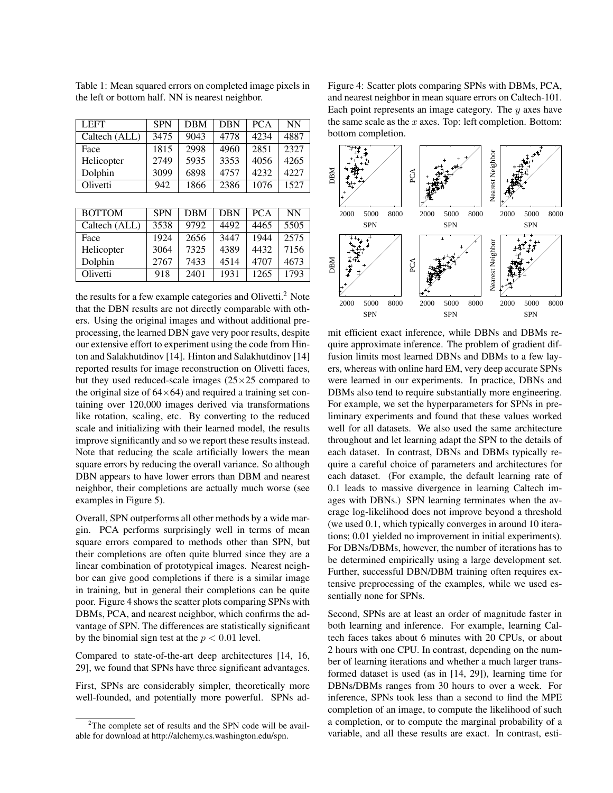| <b>LEFT</b>   | <b>SPN</b> | <b>DBM</b> | <b>DBN</b> | <b>PCA</b> | NN   |
|---------------|------------|------------|------------|------------|------|
| Caltech (ALL) | 3475       | 9043       | 4778       | 4234       | 4887 |
| Face          | 1815       | 2998       | 4960       | 2851       | 2327 |
| Helicopter    | 2749       | 5935       | 3353       | 4056       | 4265 |
| Dolphin       | 3099       | 6898       | 4757       | 4232       | 4227 |
| Olivetti      | 942        | 1866       | 2386       | 1076       | 1527 |

Table 1: Mean squared errors on completed image pixels in the left or bottom half. NN is nearest neighbor.

| <b>BOTTOM</b> | <b>SPN</b> | <b>DBM</b> | <b>DBN</b> | <b>PCA</b> | NN   |
|---------------|------------|------------|------------|------------|------|
| Caltech (ALL) | 3538       | 9792       | 4492       | 4465       | 5505 |
| Face          | 1924       | 2656       | 3447       | 1944       | 2575 |
| Helicopter    | 3064       | 7325       | 4389       | 4432       | 7156 |
| Dolphin       | 2767       | 7433       | 4514       | 4707       | 4673 |
| Olivetti      | 918        | 2401       | 1931       | 1265       | 1793 |

the results for a few example categories and Olivetti.<sup>2</sup> Note that the DBN results are not directly comparable with others. Using the original images and without additional preprocessing, the learned DBN gave very poor results, despite our extensive effort to experiment using the code from Hinton and Salakhutdinov [14]. Hinton and Salakhutdinov [14] reported results for image reconstruction on Olivetti faces, but they used reduced-scale images  $(25 \times 25$  compared to the original size of  $64\times64$ ) and required a training set containing over 120,000 images derived via transformations like rotation, scaling, etc. By converting to the reduced scale and initializing with their learned model, the results improve significantly and so we report these results instead. Note that reducing the scale artificially lowers the mean square errors by reducing the overall variance. So although DBN appears to have lower errors than DBM and nearest neighbor, their completions are actually much worse (see examples in Figure 5).

Overall, SPN outperforms all other methods by a wide margin. PCA performs surprisingly well in terms of mean square errors compared to methods other than SPN, but their completions are often quite blurred since they are a linear combination of prototypical images. Nearest neighbor can give good completions if there is a similar image in training, but in general their completions can be quite poor. Figure 4 shows the scatter plots comparing SPNs with DBMs, PCA, and nearest neighbor, which confirms the advantage of SPN. The differences are statistically significant by the binomial sign test at the  $p < 0.01$  level.

Compared to state-of-the-art deep architectures [14, 16, 29], we found that SPNs have three significant advantages.

First, SPNs are considerably simpler, theoretically more well-founded, and potentially more powerful. SPNs adFigure 4: Scatter plots comparing SPNs with DBMs, PCA, and nearest neighbor in mean square errors on Caltech-101. Each point represents an image category. The  $y$  axes have the same scale as the  $x$  axes. Top: left completion. Bottom: bottom completion.



mit efficient exact inference, while DBNs and DBMs require approximate inference. The problem of gradient diffusion limits most learned DBNs and DBMs to a few layers, whereas with online hard EM, very deep accurate SPNs were learned in our experiments. In practice, DBNs and DBMs also tend to require substantially more engineering. For example, we set the hyperparameters for SPNs in preliminary experiments and found that these values worked well for all datasets. We also used the same architecture throughout and let learning adapt the SPN to the details of each dataset. In contrast, DBNs and DBMs typically require a careful choice of parameters and architectures for each dataset. (For example, the default learning rate of 0.1 leads to massive divergence in learning Caltech images with DBNs.) SPN learning terminates when the average log-likelihood does not improve beyond a threshold (we used 0.1, which typically converges in around 10 iterations; 0.01 yielded no improvement in initial experiments). For DBNs/DBMs, however, the number of iterations has to be determined empirically using a large development set. Further, successful DBN/DBM training often requires extensive preprocessing of the examples, while we used essentially none for SPNs.

Second, SPNs are at least an order of magnitude faster in both learning and inference. For example, learning Caltech faces takes about 6 minutes with 20 CPUs, or about 2 hours with one CPU. In contrast, depending on the number of learning iterations and whether a much larger transformed dataset is used (as in [14, 29]), learning time for DBNs/DBMs ranges from 30 hours to over a week. For inference, SPNs took less than a second to find the MPE completion of an image, to compute the likelihood of such a completion, or to compute the marginal probability of a variable, and all these results are exact. In contrast, esti-

<sup>&</sup>lt;sup>2</sup>The complete set of results and the SPN code will be available for download at http://alchemy.cs.washington.edu/spn.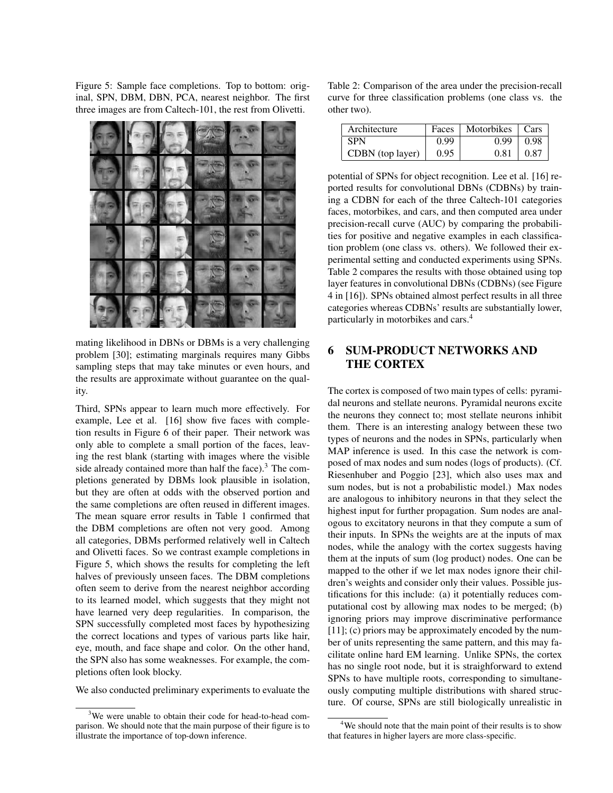Figure 5: Sample face completions. Top to bottom: original, SPN, DBM, DBN, PCA, nearest neighbor. The first three images are from Caltech-101, the rest from Olivetti.



mating likelihood in DBNs or DBMs is a very challenging problem [30]; estimating marginals requires many Gibbs sampling steps that may take minutes or even hours, and the results are approximate without guarantee on the quality.

Third, SPNs appear to learn much more effectively. For example, Lee et al. [16] show five faces with completion results in Figure 6 of their paper. Their network was only able to complete a small portion of the faces, leaving the rest blank (starting with images where the visible side already contained more than half the face). $3$  The completions generated by DBMs look plausible in isolation, but they are often at odds with the observed portion and the same completions are often reused in different images. The mean square error results in Table 1 confirmed that the DBM completions are often not very good. Among all categories, DBMs performed relatively well in Caltech and Olivetti faces. So we contrast example completions in Figure 5, which shows the results for completing the left halves of previously unseen faces. The DBM completions often seem to derive from the nearest neighbor according to its learned model, which suggests that they might not have learned very deep regularities. In comparison, the SPN successfully completed most faces by hypothesizing the correct locations and types of various parts like hair, eye, mouth, and face shape and color. On the other hand, the SPN also has some weaknesses. For example, the completions often look blocky.

We also conducted preliminary experiments to evaluate the

Table 2: Comparison of the area under the precision-recall curve for three classification problems (one class vs. the other two).

| Architecture     |      | Faces   Motorbikes   Cars |      |
|------------------|------|---------------------------|------|
| SPN              | 0.99 | 0.99                      | 0.98 |
| CDBN (top layer) | 0.95 | 0.81                      | 0.87 |

potential of SPNs for object recognition. Lee et al. [16] reported results for convolutional DBNs (CDBNs) by training a CDBN for each of the three Caltech-101 categories faces, motorbikes, and cars, and then computed area under precision-recall curve (AUC) by comparing the probabilities for positive and negative examples in each classification problem (one class vs. others). We followed their experimental setting and conducted experiments using SPNs. Table 2 compares the results with those obtained using top layer features in convolutional DBNs (CDBNs) (see Figure 4 in [16]). SPNs obtained almost perfect results in all three categories whereas CDBNs' results are substantially lower, particularly in motorbikes and cars.<sup>4</sup>

## 6 SUM-PRODUCT NETWORKS AND THE CORTEX

The cortex is composed of two main types of cells: pyramidal neurons and stellate neurons. Pyramidal neurons excite the neurons they connect to; most stellate neurons inhibit them. There is an interesting analogy between these two types of neurons and the nodes in SPNs, particularly when MAP inference is used. In this case the network is composed of max nodes and sum nodes (logs of products). (Cf. Riesenhuber and Poggio [23], which also uses max and sum nodes, but is not a probabilistic model.) Max nodes are analogous to inhibitory neurons in that they select the highest input for further propagation. Sum nodes are analogous to excitatory neurons in that they compute a sum of their inputs. In SPNs the weights are at the inputs of max nodes, while the analogy with the cortex suggests having them at the inputs of sum (log product) nodes. One can be mapped to the other if we let max nodes ignore their children's weights and consider only their values. Possible justifications for this include: (a) it potentially reduces computational cost by allowing max nodes to be merged; (b) ignoring priors may improve discriminative performance [11]; (c) priors may be approximately encoded by the number of units representing the same pattern, and this may facilitate online hard EM learning. Unlike SPNs, the cortex has no single root node, but it is straighforward to extend SPNs to have multiple roots, corresponding to simultaneously computing multiple distributions with shared structure. Of course, SPNs are still biologically unrealistic in

<sup>&</sup>lt;sup>3</sup>We were unable to obtain their code for head-to-head comparison. We should note that the main purpose of their figure is to illustrate the importance of top-down inference.

<sup>&</sup>lt;sup>4</sup>We should note that the main point of their results is to show that features in higher layers are more class-specific.